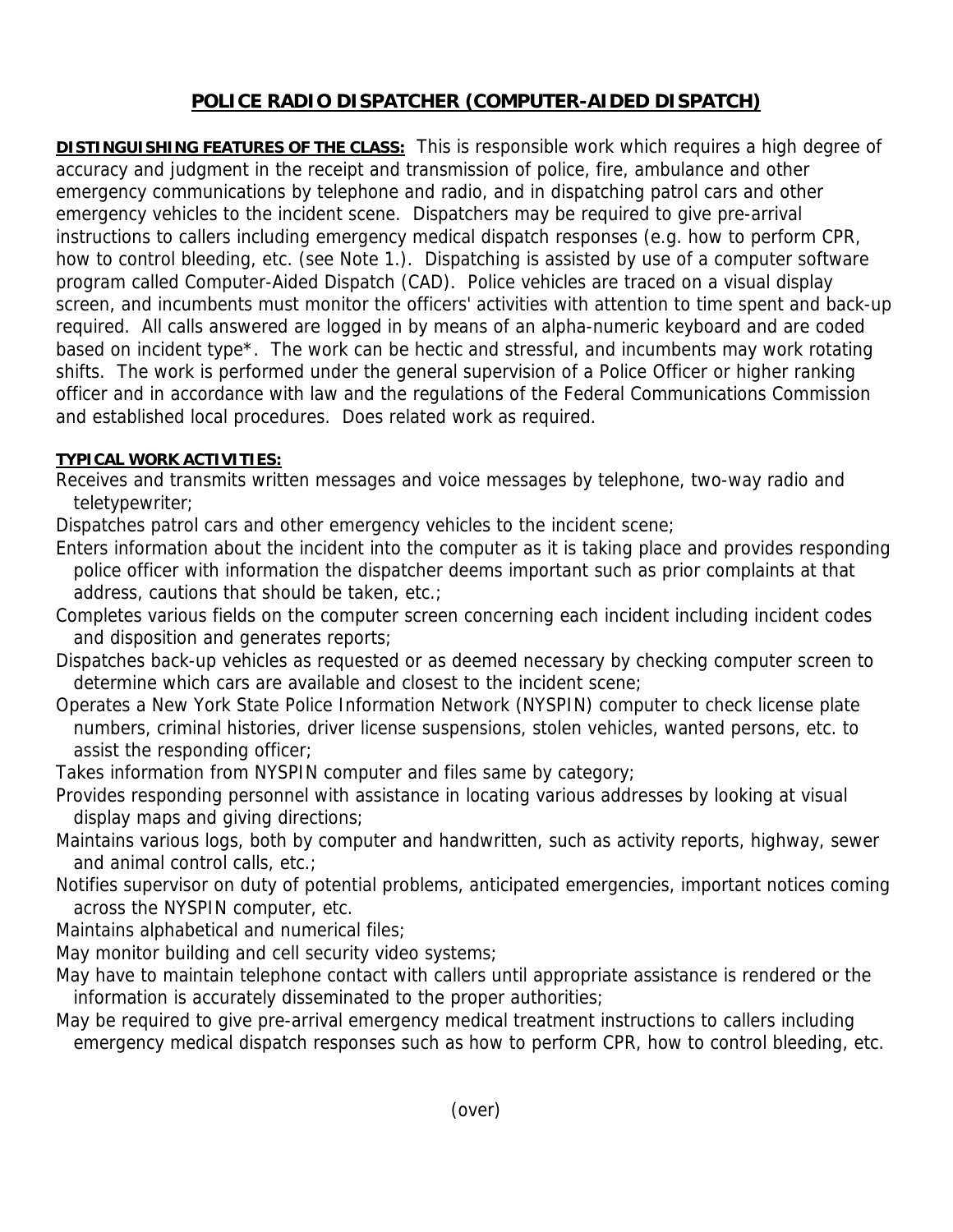## **POLICE RADIO DISPATCHER (COMPUTER-AIDED DISPATCH)**

**DISTINGUISHING FEATURES OF THE CLASS:** This is responsible work which requires a high degree of accuracy and judgment in the receipt and transmission of police, fire, ambulance and other emergency communications by telephone and radio, and in dispatching patrol cars and other emergency vehicles to the incident scene. Dispatchers may be required to give pre-arrival instructions to callers including emergency medical dispatch responses (e.g. how to perform CPR, how to control bleeding, etc. (see Note 1.). Dispatching is assisted by use of a computer software program called Computer-Aided Dispatch (CAD). Police vehicles are traced on a visual display screen, and incumbents must monitor the officers' activities with attention to time spent and back-up required. All calls answered are logged in by means of an alpha-numeric keyboard and are coded based on incident type\*. The work can be hectic and stressful, and incumbents may work rotating shifts. The work is performed under the general supervision of a Police Officer or higher ranking officer and in accordance with law and the regulations of the Federal Communications Commission and established local procedures. Does related work as required.

## **TYPICAL WORK ACTIVITIES:**

Receives and transmits written messages and voice messages by telephone, two-way radio and teletypewriter;

Dispatches patrol cars and other emergency vehicles to the incident scene;

Enters information about the incident into the computer as it is taking place and provides responding police officer with information the dispatcher deems important such as prior complaints at that address, cautions that should be taken, etc.;

- Completes various fields on the computer screen concerning each incident including incident codes and disposition and generates reports;
- Dispatches back-up vehicles as requested or as deemed necessary by checking computer screen to determine which cars are available and closest to the incident scene;
- Operates a New York State Police Information Network (NYSPIN) computer to check license plate numbers, criminal histories, driver license suspensions, stolen vehicles, wanted persons, etc. to assist the responding officer;

Takes information from NYSPIN computer and files same by category;

- Provides responding personnel with assistance in locating various addresses by looking at visual display maps and giving directions;
- Maintains various logs, both by computer and handwritten, such as activity reports, highway, sewer and animal control calls, etc.;
- Notifies supervisor on duty of potential problems, anticipated emergencies, important notices coming across the NYSPIN computer, etc.

Maintains alphabetical and numerical files;

- May monitor building and cell security video systems;
- May have to maintain telephone contact with callers until appropriate assistance is rendered or the information is accurately disseminated to the proper authorities;

May be required to give pre-arrival emergency medical treatment instructions to callers including emergency medical dispatch responses such as how to perform CPR, how to control bleeding, etc.